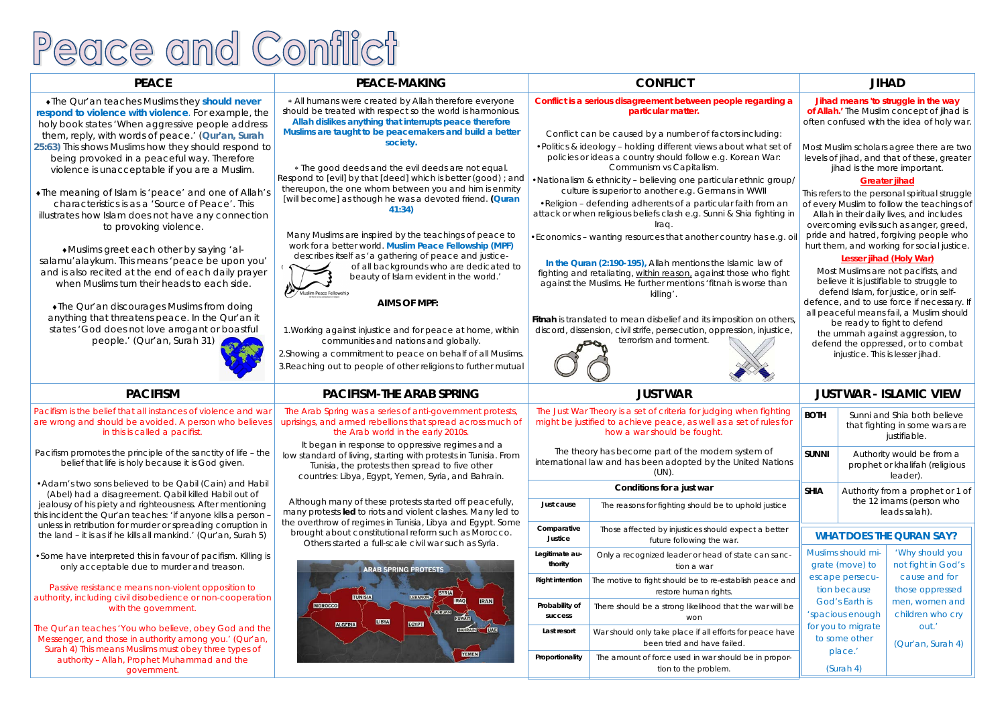# Peace and Conflict

## **PEACE**

## **PEACE-MAKING**

The Qur'an teaches Muslims they *should never respond to violence with violence*. For example, the holy book states 'When aggressive people address them, reply, with words of peace.' (*Qur'an, Surah 25:63)* This shows Muslims how they should respond to being provoked in a peaceful way. Therefore violence is unacceptable if you are a Muslim.

The meaning of Islam is 'peace' and one of Allah's characteristics is as a 'Source of Peace'. This illustrates how Islam does not have any connection to provoking violence.

Muslims greet each other by saying 'alsalamu'alaykum. This means 'peace be upon you' and is also recited at the end of each daily prayer when Muslims turn their heads to each side.

The Qur'an discourages Muslims from doing anything that threatens peace. In the Qur'an it states 'God does not love arrogant or boastful

people.' (Qur'an, Surah 31)



 All humans were created by Allah therefore everyone should be treated with respect so the world is harmonious. *Allah dislikes anything that interrupts peace therefore Muslims are taught to be peacemakers and build a better society.* 

 The good deeds and the evil deeds are not equal. Respond to [evil] by that [deed] which is better (good) ; and thereupon, the one whom between you and him is enmity [will become] as though he was a devoted friend. *(Quran 41:34)* 

Many Muslims are inspired by the teachings of peace to work for a better world. *Muslim Peace Fellowship (MPF)* describes itself as 'a gathering of peace and justice-

of all backgrounds who are dedicated to beauty of Islam evident in the world.' im Peace Fellowshir

## **AIMS OF MPF:**

1.Working against injustice and for peace at home, within communities and nations and globally.

2.Showing a commitment to peace on behalf of all Muslims. 3.Reaching out to people of other religions to further mutual

## **PACIFISM PACIFISM-THE ARAB SPRING**





Pacifism is the belief that all instances of violence and war are wrong and should be avoided. A person who believes in this is called a pacifist.

Pacifism promotes the principle of the sanctity of life – the belief that life is holy because it is God given.

•Adam's two sons believed to be Qabil (Cain) and Habil (Abel) had a disagreement. Qabil killed Habil out of jealousy of his piety and righteousness. After mentioning this incident the Qur'an teaches: 'if anyone kills a person – unless in retribution for murder or spreading corruption in the land – it is as if he kills all mankind.' (Qur'an, Surah 5)

| G                                                                                      | <b>CONFLICT</b>                                                                                                                                                                                                                                                                      |                                                                                         |                                                                                  | <b>JIHAD</b>                                                                                                                                                                          |                                                                                                                                  |                                            |  |
|----------------------------------------------------------------------------------------|--------------------------------------------------------------------------------------------------------------------------------------------------------------------------------------------------------------------------------------------------------------------------------------|-----------------------------------------------------------------------------------------|----------------------------------------------------------------------------------|---------------------------------------------------------------------------------------------------------------------------------------------------------------------------------------|----------------------------------------------------------------------------------------------------------------------------------|--------------------------------------------|--|
| therefore everyone<br>world is harmonious.<br>ts peace therefore                       | Conflict is a serious disagreement between people regarding a<br>particular matter.                                                                                                                                                                                                  |                                                                                         |                                                                                  | Jihad means 'to struggle in the way<br>of Allah.' The Muslim concept of jihad is<br>often confused with the idea of holy war.                                                         |                                                                                                                                  |                                            |  |
| <b>rs and build a better</b>                                                           | Conflict can be caused by a number of factors including:                                                                                                                                                                                                                             |                                                                                         |                                                                                  |                                                                                                                                                                                       |                                                                                                                                  |                                            |  |
| eds are not equal.                                                                     | • Politics & ideology - holding different views about what set of<br>policies or ideas a country should follow e.g. Korean War:<br>Communism vs Capitalism.                                                                                                                          |                                                                                         |                                                                                  | Most Muslim scholars agree there are two<br>levels of jihad, and that of these, greater<br>jihad is the more important.                                                               |                                                                                                                                  |                                            |  |
| is better (good); and<br>ou and him is enmity                                          | . Nationalism & ethnicity - believing one particular ethnic group/<br>culture is superior to another e.g. Germans in WWII                                                                                                                                                            |                                                                                         |                                                                                  |                                                                                                                                                                                       | <b>Greater jihad</b><br>This refers to the personal spiritual struggle                                                           |                                            |  |
| voted friend. (Quran                                                                   | . Religion - defending adherents of a particular faith from an<br>attack or when religious beliefs clash e.g. Sunni & Shia fighting in<br>Iraq.                                                                                                                                      |                                                                                         |                                                                                  |                                                                                                                                                                                       | of every Muslim to follow the teachings of<br>Allah in their daily lives, and includes<br>overcoming evils such as anger, greed, |                                            |  |
| chings of peace to<br>e Fellowship (MPF):                                              | • Economics - wanting resources that another country has e.g. oil<br>In the Quran (2:190-195), Allah mentions the Islamic law of<br>fighting and retaliating, within reason, against those who fight<br>against the Muslims. He further mentions ' fitnah is worse than<br>killing'. |                                                                                         |                                                                                  | pride and hatred, forgiving people who<br>hurt them, and working for social justice.                                                                                                  |                                                                                                                                  |                                            |  |
| eace and justice-<br>ho are dedicated to<br>ent in the world.'                         |                                                                                                                                                                                                                                                                                      |                                                                                         |                                                                                  | Lesser jihad (Holy War)<br>Most Muslims are not pacifists, and<br>believe it is justifiable to struggle to<br>defend Islam, for justice, or in self-                                  |                                                                                                                                  |                                            |  |
|                                                                                        |                                                                                                                                                                                                                                                                                      |                                                                                         |                                                                                  |                                                                                                                                                                                       |                                                                                                                                  | defence, and to use force if necessary. If |  |
| ace at home, within<br>d globally.<br>behalf of all Muslims.<br>ions to further mutual | Fitnah is translated to mean disbelief and its imposition on others,<br>discord, dissension, civil strife, persecution, oppression, injustice,<br>terrorism and torment.                                                                                                             |                                                                                         |                                                                                  | all peaceful means fail, a Muslim should<br>be ready to fight to defend<br>the ummah against aggression, to<br>defend the oppressed, or to combat<br>injustice. This is lesser jihad. |                                                                                                                                  |                                            |  |
|                                                                                        |                                                                                                                                                                                                                                                                                      |                                                                                         |                                                                                  |                                                                                                                                                                                       |                                                                                                                                  |                                            |  |
| <b>SPRING</b>                                                                          | <b>JUST WAR</b>                                                                                                                                                                                                                                                                      |                                                                                         |                                                                                  | <b>JUST WAR - ISLAMIC VIEW</b>                                                                                                                                                        |                                                                                                                                  |                                            |  |
| overnment protests,<br>read across much of<br>ly 2010s.                                | The Just War Theory is a set of criteria for judging when fighting<br>might be justified to achieve peace, as well as a set of rules for<br>how a war should be fought.                                                                                                              |                                                                                         |                                                                                  | <b>BOTH</b>                                                                                                                                                                           | Sunni and Shia both believe<br>that fighting in some wars are<br>justifiable.                                                    |                                            |  |
| e regimes and a<br>otests in Tunisia. From<br>d to five other<br>ria, and Bahrain.     | The theory has become part of the modern system of<br>international law and has been adopted by the United Nations<br>$(UN)$ .                                                                                                                                                       |                                                                                         |                                                                                  | <b>SUNNI</b>                                                                                                                                                                          | Authority would be from a<br>prophet or khalifah (religious<br>leader).                                                          |                                            |  |
|                                                                                        | Conditions for a just war                                                                                                                                                                                                                                                            |                                                                                         |                                                                                  | <b>SHIA</b>                                                                                                                                                                           | Authority from a prophet or 1 of                                                                                                 |                                            |  |
| ted off peacefully,<br>clashes. Many led to                                            | Just cause                                                                                                                                                                                                                                                                           |                                                                                         | The reasons for fighting should be to uphold justice                             |                                                                                                                                                                                       |                                                                                                                                  | the 12 imams (person who<br>leads salah).  |  |
| ya and Egypt. Some<br>such as Morocco.<br>ar such as Syria.                            | Comparative<br>Justice                                                                                                                                                                                                                                                               |                                                                                         | Those affected by injustices should expect a better<br>future following the war. | <b>WHAT DOES THE QURAN SAY?</b>                                                                                                                                                       |                                                                                                                                  |                                            |  |
| <b>TS</b>                                                                              | Legitimate au-<br>thority                                                                                                                                                                                                                                                            |                                                                                         | Only a recognized leader or head of state can sanc-<br>tion a war                | Muslims should mi-<br>'Why should you<br>grate (move) to<br>not fight in God's                                                                                                        |                                                                                                                                  |                                            |  |
| <b>SYRIA</b>                                                                           | <b>Right intention</b>                                                                                                                                                                                                                                                               |                                                                                         | The motive to fight should be to re-establish peace and<br>restore human rights. |                                                                                                                                                                                       | cause and for<br>escape persecu-<br>tion because<br>those oppressed                                                              |                                            |  |
| <b>IRAQ</b><br><b>IRAN</b><br>ORDAN<br><b>KUWATI</b>                                   | Probability of<br>There should be a strong likelihood that the war will be<br>success<br>won                                                                                                                                                                                         |                                                                                         | God's Earth is<br>men, women and<br>children who cry<br>'spacious enough         |                                                                                                                                                                                       |                                                                                                                                  |                                            |  |
| <b>BAHRAIN</b><br><b>UAE</b>                                                           | Last resort                                                                                                                                                                                                                                                                          | War should only take place if all efforts for peace have<br>been tried and have failed. |                                                                                  | for you to migrate<br>out.'<br>to some other<br>(Qur'an, Surah 4)                                                                                                                     |                                                                                                                                  |                                            |  |
| <b>YEMEN</b>                                                                           | Proportionality                                                                                                                                                                                                                                                                      |                                                                                         | The amount of force used in war should be in propor-<br>tion to the problem.     |                                                                                                                                                                                       | place.'<br>(Surah 4)                                                                                                             |                                            |  |
|                                                                                        |                                                                                                                                                                                                                                                                                      |                                                                                         |                                                                                  |                                                                                                                                                                                       |                                                                                                                                  |                                            |  |

•Some have interpreted this in favour of pacifism. Killing is only acceptable due to murder and treason.

Passive resistance means non-violent opposition to authority, including civil disobedience or non-cooperation with the government.

The Qur'an teaches 'You who believe, obey God and the Messenger, and those in authority among you.' (Qur'an, Surah 4) This means Muslims must obey three types of authority – Allah, Prophet Muhammad and the government.

The Arab Spring was a series of anti-government protests, uprisings, and armed rebellions that spread across much of the Arab world in the early 2010s.

 It began in response to oppressive regimes and a low standard of living, starting with protests in Tunisia. From Tunisia, the protests then spread to five other countries: Libya, Egypt, Yemen, Syria, and Bahrain.

Although many of these protests started off peacefully, many protests **led** to riots and violent clashes. Many led to the overthrow of regimes in Tunisia, Libya and Egypt. Some brought about constitutional reform such as Morocco. Others started a full-scale civil war such as Syria.